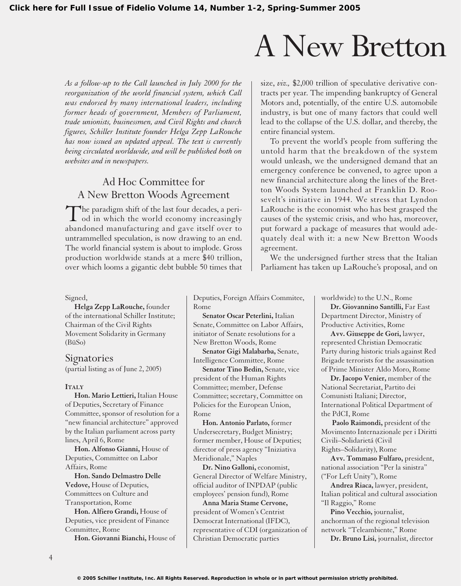## A New Bretton

*As a follow-up to the Call launched in July 2000 for the reorganization of the world financial system, which Call was endorsed by many international leaders, including former heads of government, Members of Parliament, trade unionists, businessmen, and Civil Rights and church figures, Schiller Institute founder Helga Zepp LaRouche has now issued an updated appeal. The text is currently being circulated worldwide, and will be published both on websites and in newspapers.*

### Ad Hoc Committee for A New Bretton Woods Agreement

The paradigm shift of the last four decades, a peri- $\perp$  od in which the world economy increasingly abandoned manufacturing and gave itself over to untrammelled speculation, is now drawing to an end. The world financial system is about to implode. Gross production worldwide stands at a mere \$40 trillion, over which looms a gigantic debt bubble 50 times that size, *viz.,* \$2,000 trillion of speculative derivative contracts per year. The impending bankruptcy of General Motors and, potentially, of the entire U.S. automobile industry, is but one of many factors that could well lead to the collapse of the U.S. dollar, and thereby, the entire financial system.

To prevent the world's people from suffering the untold harm that the breakdown of the system would unleash, we the undersigned demand that an emergency conference be convened, to agree upon a new financial architecture along the lines of the Bretton Woods System launched at Franklin D. Roosevelt's initiative in 1944. We stress that Lyndon LaRouche is the economist who has best grasped the causes of the systemic crisis, and who has, moreover, put forward a package of measures that would adequately deal with it: a new New Bretton Woods agreement.

We the undersigned further stress that the Italian Parliament has taken up LaRouche's proposal, and on

#### Signed,

**Helga Zepp LaRouche,** founder of the international Schiller Institute; Chairman of the Civil Rights Movement Solidarity in Germany (BüSo)

**Signatories** (partial listing as of June 2, 2005)

#### **ITALY**

**Hon. Mario Lettieri,** Italian House of Deputies, Secretary of Finance Committee, sponsor of resolution for a "new financial architecture" approved by the Italian parliament across party lines, April 6, Rome

**Hon. Alfonso Gianni,** House of Deputies, Committee on Labor Affairs, Rome

**Hon. Sando Delmastro Delle Vedove,** House of Deputies, Committees on Culture and Transportation, Rome

**Hon. Alfiero Grandi,** House of Deputies, vice president of Finance Committee, Rome

**Hon. Giovanni Bianchi,** House of

Deputies, Foreign Affairs Commitee, Rome

**Senator Oscar Peterlini,** Italian Senate, Committee on Labor Affairs, initiator of Senate resolutions for a New Bretton Woods, Rome

**Senator Gigi Malabarba,** Senate, Intelligence Committee, Rome

**Senator Tino Bedin,** Senate, vice president of the Human Rights Committee; member, Defense Committee; secretary, Committee on Policies for the European Union, Rome

**Hon. Antonio Parlato,** former Undersecretary, Budget Ministry; former member, House of Deputies; director of press agency "Iniziativa Meridionale," Naples

**Dr. Nino Galloni,** economist, General Director of Welfare Ministry, official auditor of INPDAP (public employees' pension fund), Rome

**Anna Maria Stame Cervone,** president of Women's Centrist Democrat International (IFDC), representative of CDI (organization of Christian Democratic parties

worldwide) to the U.N., Rome

**Dr. Giovannino Santilli,** Far East Department Director, Ministry of Productive Activities, Rome

**Avv. Giuseppe de Gori,** lawyer, represented Christian Democratic Party during historic trials against Red Brigade terrorists for the assassination of Prime Minister Aldo Moro, Rome

**Dr. Jacopo Venier,** member of the National Secretariat, Partito dei Comunisti Italiani; Director, International Political Department of the PdCI, Rome

**Paolo Raimondi,** president of the Movimento Internazionale per i Diritti Civili–Solidarietá (Civil Rights–Solidarity), Rome

**Avv. Tommaso Fulfaro,** president, national association "Per la sinistra" ("For Left Unity"), Rome

**Andrea Riaca,** lawyer, president, Italian political and cultural association "Il Raggio," Rome

**Pino Vecchio,** journalist, anchorman of the regional television network "Teleambiente," Rome

**Dr. Bruno Lisi,** journalist, director